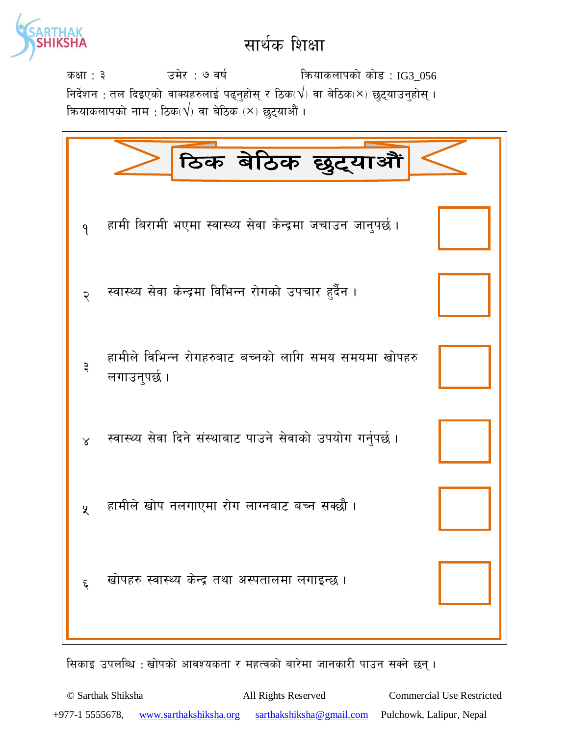

sIff : # pd]/ : & jif{ lqmofsnfksf] sf]8 : IG3\_056 निर्देशन : तल दिइएको वाक्यहरुलाई पढ्नुहोस् र ठिक $(\bigvee)$  वा बेठिक $(\times)$  छुट्याउनुहोस् । कियाकलापको नाम : ठिक $(\sqrt{})$  वा बेठिक  $\breve{}\times\rm$  छुट्याऔं ।

|                    | ठिक बेठिक छुट्याऔं                                                    |
|--------------------|-----------------------------------------------------------------------|
| $\mathsf{P}$       | हामी बिरामी भएमा स्वास्थ्य सेवा केन्द्रमा जचाउन जानुपर्छ।             |
| २                  | स्वास्थ्य सेवा केन्द्रमा विभिन्न रोगको उपचार हुर्दैन ।                |
| ३                  | हामीले विभिन्न रोगहरुबाट बच्नको लागि समय समयमा खोपहरु<br>लगाउनुपर्छ । |
| $\lambda$          | स्वास्थ्य सेवा दिने संस्थाबाट पाउने सेवाको उपयोग गर्नुपर्छ ।          |
| $\chi$             | हामीले खोप नलगाएमा रोग लाग्नबाट बच्न सक्छौ ।                          |
| $\boldsymbol{\xi}$ | खोपहरु स्वास्थ्य केन्द्र तथा अस्पतालमा लगाइन्छ।                       |

सिकाइ उपलब्धि : खोपको आवश्यकता र महत्वको बारेमा जानकारी पाउन सक्ने छन् ।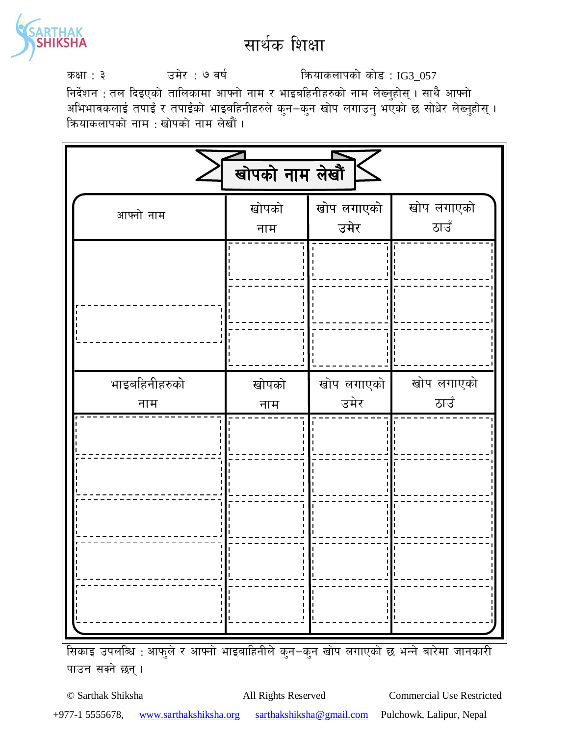

sIff : # pd]/ : & jif{ lqmofsnfksf] sf]8 : IG3\_057

निर्देशन : तल दिइएको तालिकामा आफ्नो नाम र भाइबहिनीहरुको नाम लेख्नुहोस् । साथै आफ्नो अभिभावकलाई तपाईं र तपाईंको भाइबहिनीहरुले कुन–कुन खोप लगाउनु भएको छ सोधेर लेख्नुहोस् । क्रियाकलापको नाम : खोपको नाम लेखौं ।

| खोपको नाम लेखौं      |              |                    |                    |  |  |
|----------------------|--------------|--------------------|--------------------|--|--|
| आफ्नो नाम            | खोपको<br>नाम | खोप लगाएको<br>उमेर | खोप लगाएको<br>ठाउँ |  |  |
|                      |              |                    |                    |  |  |
| भाइबहिनीहरुको<br>नाम | खोपको<br>नाम | खोप लगाएको<br>उमेर | खोप लगाएको<br>ठाउँ |  |  |
|                      |              |                    |                    |  |  |

सिकाइ उपलब्धि : आफुले र आफ्नो भाइबाहिनीले कुन–कुन खोप लगाएको छ भन्ने बारेमा जानकारी पाउन सक्ने छन्।

© Sarthak Shiksha All Rights Reserved Commercial Use Restricted +977-1 5555678, www.sarthakshiksha.org sarthakshiksha@gmail.com Pulchowk, Lalipur, Nepal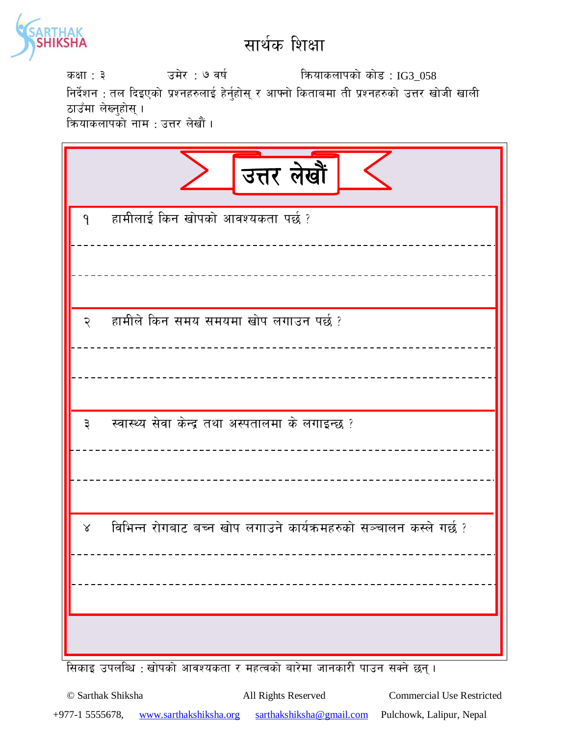

उमेर : ७ वर्ष कियाकलापको कोड: IG3\_058 कक्षा : ३ निर्देशन : तल दिइएको प्रश्नहरुलाई हेर्नुहोस् र आफ्नो किताबमा ती प्रश्नहरुको उत्तर खोजी खाली ठाउँमा लेख्नुहोस् । कियाकलापको नाम : उत्तर लेखौं ।

|                  | उत्तर लेखौं                                                        |
|------------------|--------------------------------------------------------------------|
| $\mathbf{q}$     | हामीलाई किन खोपको आवश्यकता पर्छ ?                                  |
| २                | हामीले किन समय समयमा खोप लगाउन पर्छ ?                              |
| $\vec{\epsilon}$ | स्वास्थ्य सेवा केन्द्र तथा अस्पतालमा के लगाइन्छ ?                  |
| $\lambda$        | विभिन्न रोगबाट बच्न खोप लगाउने कार्यक्रमहरुको सञ्चालन कस्ले गर्छ ? |

सिकाइ उपलब्धि : खोपको आवश्यकता र महत्वको बारेमा जानकारी पाउन सक्ने छन् ।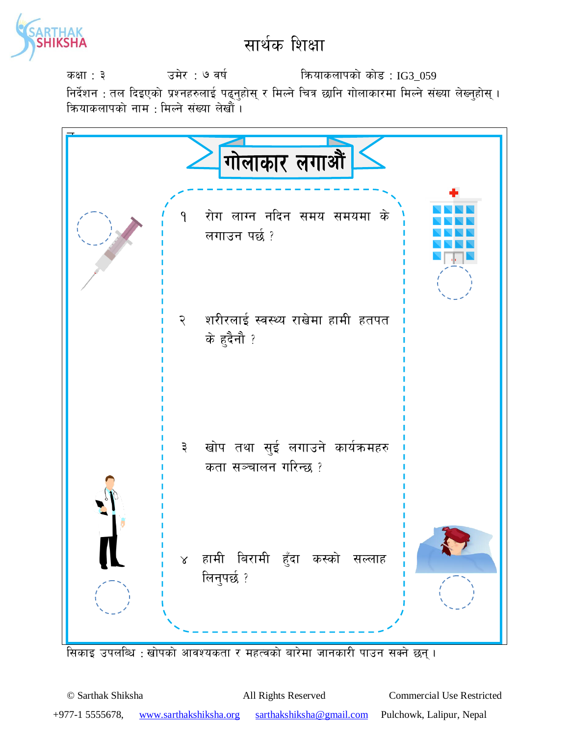

उमेर : ७ वर्ष कियाकलापको कोड : IG3\_059 कक्षा : ३ निर्देशन : तल दिइएको प्रश्नहरुलाई पढ्नुहोस् र मिल्ने चित्र छानि गोलाकारमा मिल्ने संख्या लेख्नुहोस् । कियाकलापको नाम : मिल्ने संख्या लेखौं ।



.<br>सिकाइ उपलब्धि : खोपको आवश्यकता र महत्वको बारेमा जानकारी पाउन सक्ने छन् ।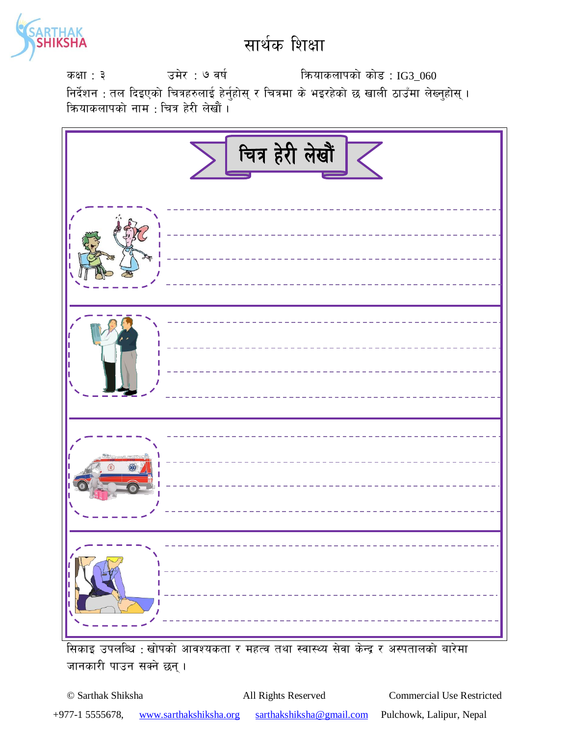

sIff : # pd]/ : & jif{ lqmofsnfksf] sf]8 : IG3\_060 निर्देशन : तल दिइएको चित्रहरुलाई हेर्नुहोस् र चित्रमा के भइरहेको छ खाली ठाउँमा लेख्नुहोस् । क्रियाकलापको नाम : चित्र हेरी लेखौं <mark>।</mark>



सिकाइ उपलब्धि : खोपको आवश्यकता र महत्व तथा स्वास्थ्य सेवा केन्द्र र अस्पतालको बारेमा जानकारी पाउन सक्ने छन्।